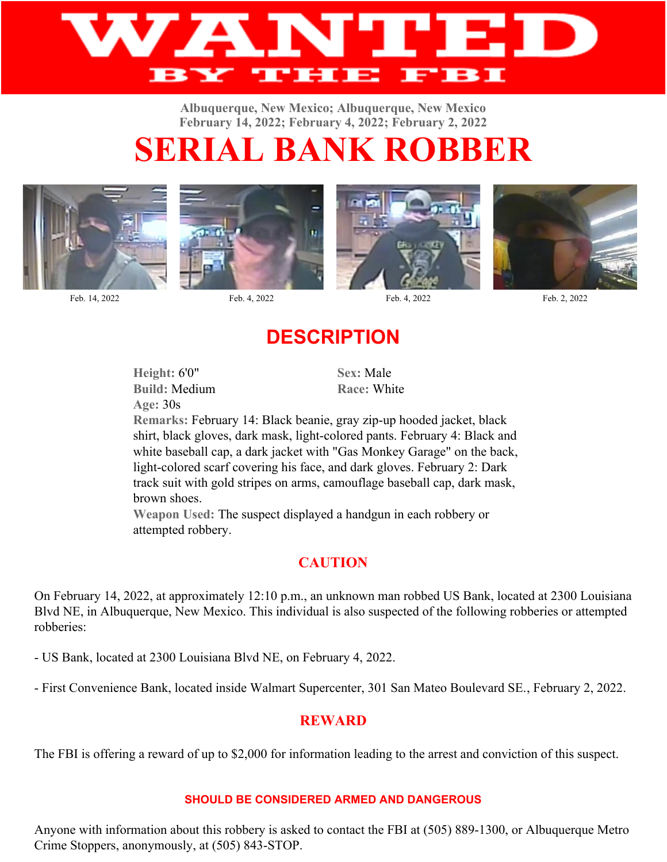

**Albuquerque, New Mexico; Albuquerque, New Mexico February 14, 2022; February 4, 2022; February 2, 2022**

# **SERIAL BANK ROBBER**





Feb. 14, 2022 Feb. 4, 2022 Feb. 4, 2022 Feb. 2, 2022





## **DESCRIPTION**

**Height:** 6'0" **Sex:** Male **Build:** Medium **Race:** White **Age:** 30s

**Remarks:** February 14: Black beanie, gray zip-up hooded jacket, black shirt, black gloves, dark mask, light-colored pants. February 4: Black and white baseball cap, a dark jacket with "Gas Monkey Garage" on the back, light-colored scarf covering his face, and dark gloves. February 2: Dark track suit with gold stripes on arms, camouflage baseball cap, dark mask, brown shoes.

**Weapon Used:** The suspect displayed a handgun in each robbery or attempted robbery.

### **CAUTION**

On February 14, 2022, at approximately 12:10 p.m., an unknown man robbed US Bank, located at 2300 Louisiana Blvd NE, in Albuquerque, New Mexico. This individual is also suspected of the following robberies or attempted robberies:

- US Bank, located at 2300 Louisiana Blvd NE, on February 4, 2022.

- First Convenience Bank, located inside Walmart Supercenter, 301 San Mateo Boulevard SE., February 2, 2022.

#### **REWARD**

The FBI is offering a reward of up to \$2,000 for information leading to the arrest and conviction of this suspect.

#### **SHOULD BE CONSIDERED ARMED AND DANGEROUS**

Anyone with information about this robbery is asked to contact the FBI at (505) 889-1300, or Albuquerque Metro Crime Stoppers, anonymously, at (505) 843-STOP.